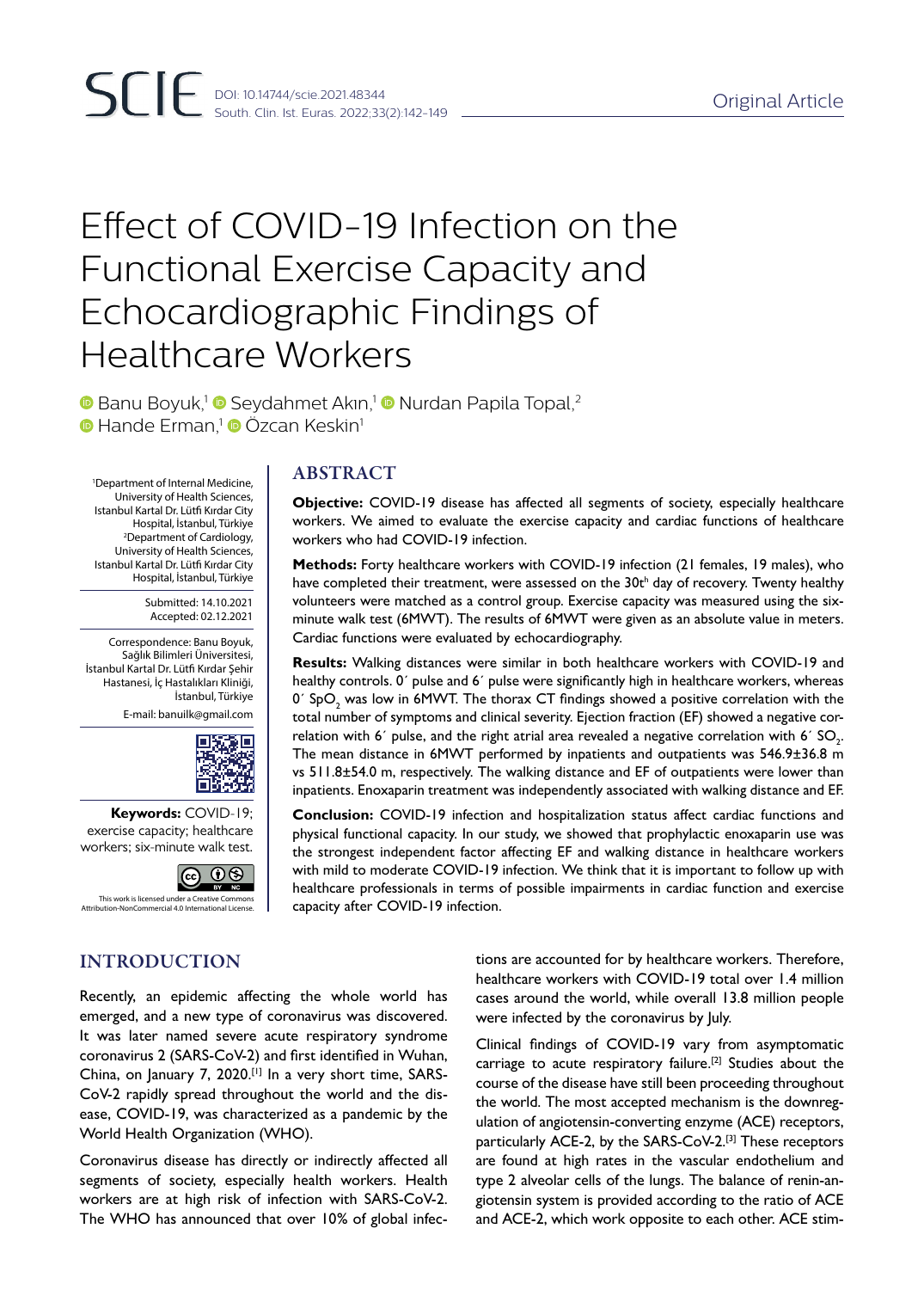# Effect of COVID-19 Infection on the Functional Exercise Capacity and Echocardiographic Findings of Healthcare Workers

**Banu Boyuk,<sup>1</sup> B Seydahmet Akin,<sup>1</sup> B Nurdan Papila Topal,<sup>2</sup> • Hande Erman,<sup>1</sup> • Özcan Keskin**<sup>1</sup>

1 Department of Internal Medicine, University of Health Sciences, Istanbul Kartal Dr. Lütfi Kırdar City Hospital, İstanbul, Türkiye 2 Department of Cardiology, University of Health Sciences, Istanbul Kartal Dr. Lütfi Kırdar City Hospital, İstanbul, Türkiye

> Submitted: 14.10.2021 Accepted: 02.12.2021

Correspondence: Banu Boyuk, Sağlık Bilimleri Üniversitesi, İstanbul Kartal Dr. Lütfi Kırdar Şehir Hastanesi, İç Hastalıkları Kliniği, İstanbul, Türkiye

E-mail: banuilk@gmail.com



**Keywords:** COVID-19; exercise capacity; healthcare workers; six-minute walk test.



INTRODUCTION

Recently, an epidemic affecting the whole world has emerged, and a new type of coronavirus was discovered. It was later named severe acute respiratory syndrome coronavirus 2 (SARS-CoV-2) and first identified in Wuhan, China, on January 7, 2020.[1] In a very short time, SARS-CoV-2 rapidly spread throughout the world and the disease, COVID-19, was characterized as a pandemic by the World Health Organization (WHO).

Coronavirus disease has directly or indirectly affected all segments of society, especially health workers. Health workers are at high risk of infection with SARS-CoV-2. The WHO has announced that over 10% of global infec-

## ABSTRACT

**Objective:** COVID-19 disease has affected all segments of society, especially healthcare workers. We aimed to evaluate the exercise capacity and cardiac functions of healthcare workers who had COVID-19 infection.

**Methods:** Forty healthcare workers with COVID-19 infection (21 females, 19 males), who have completed their treatment, were assessed on the 30t<sup>h</sup> day of recovery. Twenty healthy volunteers were matched as a control group. Exercise capacity was measured using the sixminute walk test (6MWT). The results of 6MWT were given as an absolute value in meters. Cardiac functions were evaluated by echocardiography.

**Results:** Walking distances were similar in both healthcare workers with COVID-19 and healthy controls. 0´ pulse and 6´ pulse were significantly high in healthcare workers, whereas 0´ SpO $_{\rm 2}$  was low in 6MWT. The thorax CT findings showed a positive correlation with the total number of symptoms and clinical severity. Ejection fraction (EF) showed a negative correlation with 6´ pulse, and the right atrial area revealed a negative correlation with 6´ SO<sub>2</sub>. The mean distance in 6MWT performed by inpatients and outpatients was 546.9±36.8 m vs 511.8±54.0 m, respectively. The walking distance and EF of outpatients were lower than inpatients. Enoxaparin treatment was independently associated with walking distance and EF.

**Conclusion:** COVID-19 infection and hospitalization status affect cardiac functions and physical functional capacity. In our study, we showed that prophylactic enoxaparin use was the strongest independent factor affecting EF and walking distance in healthcare workers with mild to moderate COVID-19 infection. We think that it is important to follow up with healthcare professionals in terms of possible impairments in cardiac function and exercise capacity after COVID-19 infection.

> tions are accounted for by healthcare workers. Therefore, healthcare workers with COVID-19 total over 1.4 million cases around the world, while overall 13.8 million people were infected by the coronavirus by July.

> Clinical findings of COVID-19 vary from asymptomatic carriage to acute respiratory failure.[2] Studies about the course of the disease have still been proceeding throughout the world. The most accepted mechanism is the downregulation of angiotensin-converting enzyme (ACE) receptors, particularly ACE-2, by the SARS-CoV-2.<sup>[3]</sup> These receptors are found at high rates in the vascular endothelium and type 2 alveolar cells of the lungs. The balance of renin-angiotensin system is provided according to the ratio of ACE and ACE-2, which work opposite to each other. ACE stim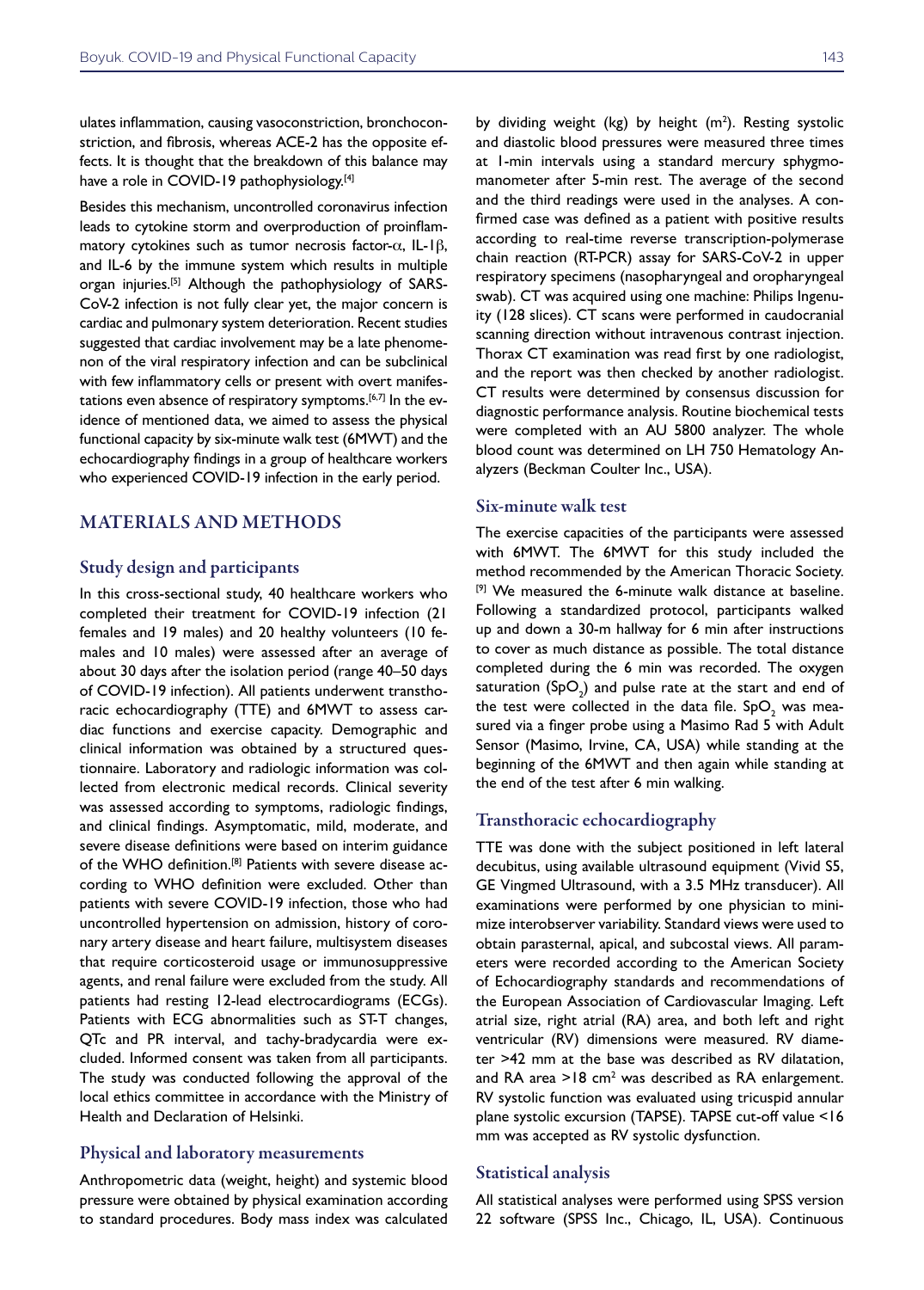ulates inflammation, causing vasoconstriction, bronchoconstriction, and fibrosis, whereas ACE-2 has the opposite effects. It is thought that the breakdown of this balance may have a role in COVID-19 pathophysiology.<sup>[4]</sup>

Besides this mechanism, uncontrolled coronavirus infection leads to cytokine storm and overproduction of proinflammatory cytokines such as tumor necrosis factor-α, IL-1β, and IL-6 by the immune system which results in multiple organ injuries.[5] Although the pathophysiology of SARS-CoV-2 infection is not fully clear yet, the major concern is cardiac and pulmonary system deterioration. Recent studies suggested that cardiac involvement may be a late phenomenon of the viral respiratory infection and can be subclinical with few inflammatory cells or present with overt manifestations even absence of respiratory symptoms.<sup>[6,7]</sup> In the evidence of mentioned data, we aimed to assess the physical functional capacity by six-minute walk test (6MWT) and the echocardiography findings in a group of healthcare workers who experienced COVID-19 infection in the early period.

## MATERIALS AND METHODS

## Study design and participants

In this cross-sectional study, 40 healthcare workers who completed their treatment for COVID-19 infection (21 females and 19 males) and 20 healthy volunteers (10 females and 10 males) were assessed after an average of about 30 days after the isolation period (range 40–50 days of COVID-19 infection). All patients underwent transthoracic echocardiography (TTE) and 6MWT to assess cardiac functions and exercise capacity. Demographic and clinical information was obtained by a structured questionnaire. Laboratory and radiologic information was collected from electronic medical records. Clinical severity was assessed according to symptoms, radiologic findings, and clinical findings. Asymptomatic, mild, moderate, and severe disease definitions were based on interim guidance of the WHO definition.<sup>[8]</sup> Patients with severe disease according to WHO definition were excluded. Other than patients with severe COVID-19 infection, those who had uncontrolled hypertension on admission, history of coronary artery disease and heart failure, multisystem diseases that require corticosteroid usage or immunosuppressive agents, and renal failure were excluded from the study. All patients had resting 12-lead electrocardiograms (ECGs). Patients with ECG abnormalities such as ST-T changes, QTc and PR interval, and tachy-bradycardia were excluded. Informed consent was taken from all participants. The study was conducted following the approval of the local ethics committee in accordance with the Ministry of Health and Declaration of Helsinki.

#### Physical and laboratory measurements

Anthropometric data (weight, height) and systemic blood pressure were obtained by physical examination according to standard procedures. Body mass index was calculated

by dividing weight (kg) by height  $(m<sup>2</sup>)$ . Resting systolic and diastolic blood pressures were measured three times at 1-min intervals using a standard mercury sphygmomanometer after 5-min rest. The average of the second and the third readings were used in the analyses. A confirmed case was defined as a patient with positive results according to real-time reverse transcription-polymerase chain reaction (RT-PCR) assay for SARS-CoV-2 in upper respiratory specimens (nasopharyngeal and oropharyngeal swab). CT was acquired using one machine: Philips Ingenuity (128 slices). CT scans were performed in caudocranial scanning direction without intravenous contrast injection. Thorax CT examination was read first by one radiologist, and the report was then checked by another radiologist. CT results were determined by consensus discussion for diagnostic performance analysis. Routine biochemical tests were completed with an AU 5800 analyzer. The whole blood count was determined on LH 750 Hematology Analyzers (Beckman Coulter Inc., USA).

#### Six-minute walk test

The exercise capacities of the participants were assessed with 6MWT. The 6MWT for this study included the method recommended by the American Thoracic Society. [9] We measured the 6-minute walk distance at baseline. Following a standardized protocol, participants walked up and down a 30-m hallway for 6 min after instructions to cover as much distance as possible. The total distance completed during the 6 min was recorded. The oxygen saturation  $(SpO<sub>2</sub>)$  and pulse rate at the start and end of the test were collected in the data file.  $\text{SpO}_2$  was measured via a finger probe using a Masimo Rad 5 with Adult Sensor (Masimo, Irvine, CA, USA) while standing at the beginning of the 6MWT and then again while standing at the end of the test after 6 min walking.

## Transthoracic echocardiography

TTE was done with the subject positioned in left lateral decubitus, using available ultrasound equipment (Vivid S5, GE Vingmed Ultrasound, with a 3.5 MHz transducer). All examinations were performed by one physician to minimize interobserver variability. Standard views were used to obtain parasternal, apical, and subcostal views. All parameters were recorded according to the American Society of Echocardiography standards and recommendations of the European Association of Cardiovascular Imaging. Left atrial size, right atrial (RA) area, and both left and right ventricular (RV) dimensions were measured. RV diameter >42 mm at the base was described as RV dilatation, and RA area  $>18$  cm<sup>2</sup> was described as RA enlargement. RV systolic function was evaluated using tricuspid annular plane systolic excursion (TAPSE). TAPSE cut-off value <16 mm was accepted as RV systolic dysfunction.

### Statistical analysis

All statistical analyses were performed using SPSS version 22 software (SPSS Inc., Chicago, IL, USA). Continuous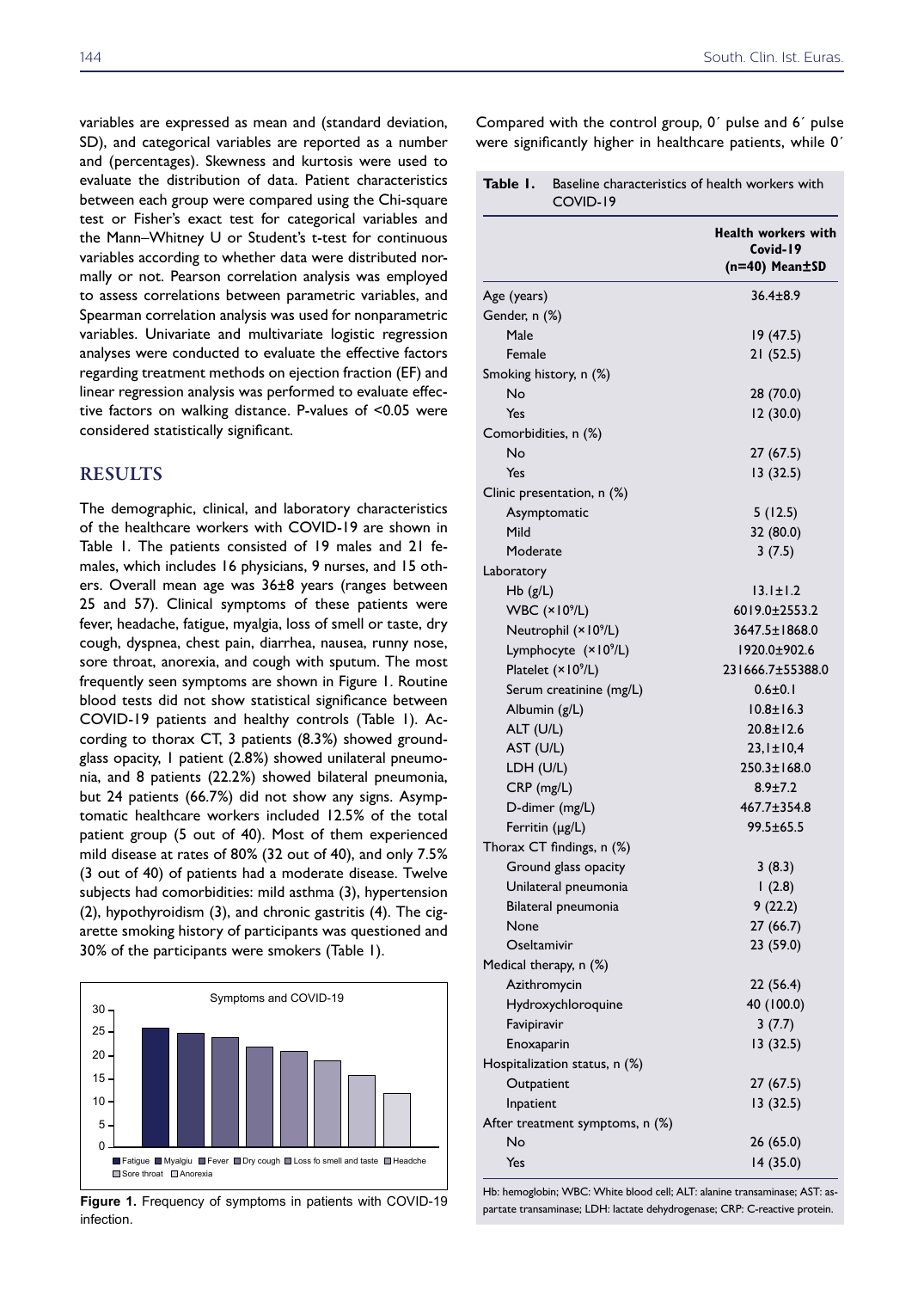variables are expressed as mean and (standard deviation, SD), and categorical variables are reported as a number and (percentages). Skewness and kurtosis were used to evaluate the distribution of data. Patient characteristics between each group were compared using the Chi-square test or Fisher's exact test for categorical variables and the Mann–Whitney U or Student's t-test for continuous variables according to whether data were distributed normally or not. Pearson correlation analysis was employed to assess correlations between parametric variables, and Spearman correlation analysis was used for nonparametric variables. Univariate and multivariate logistic regression analyses were conducted to evaluate the effective factors regarding treatment methods on ejection fraction (EF) and linear regression analysis was performed to evaluate effective factors on walking distance. P-values of <0.05 were considered statistically significant.

## RESULTS

The demographic, clinical, and laboratory characteristics of the healthcare workers with COVID-19 are shown in Table 1. The patients consisted of 19 males and 21 females, which includes 16 physicians, 9 nurses, and 15 others. Overall mean age was 36±8 years (ranges between 25 and 57). Clinical symptoms of these patients were fever, headache, fatigue, myalgia, loss of smell or taste, dry cough, dyspnea, chest pain, diarrhea, nausea, runny nose, sore throat, anorexia, and cough with sputum. The most frequently seen symptoms are shown in Figure 1. Routine blood tests did not show statistical significance between COVID-19 patients and healthy controls (Table 1). According to thorax CT, 3 patients (8.3%) showed groundglass opacity, 1 patient (2.8%) showed unilateral pneumonia, and 8 patients (22.2%) showed bilateral pneumonia, but 24 patients (66.7%) did not show any signs. Asymptomatic healthcare workers included 12.5% of the total patient group (5 out of 40). Most of them experienced mild disease at rates of 80% (32 out of 40), and only 7.5% (3 out of 40) of patients had a moderate disease. Twelve subjects had comorbidities: mild asthma (3), hypertension (2), hypothyroidism (3), and chronic gastritis (4). The cigarette smoking history of participants was questioned and 30% of the participants were smokers (Table 1).



**Figure 1.** Frequency of symptoms in patients with COVID-19 infection.

Compared with the control group, 0´ pulse and 6´ pulse were significantly higher in healthcare patients, while 0´

**Table 1.** Baseline characteristics of health workers with COVID-19

|                                  | <b>Health workers with</b><br>Covid-19<br>$(n=40)$ Mean $\pm$ SD |
|----------------------------------|------------------------------------------------------------------|
| Age (years)                      | $36.4 \pm 8.9$                                                   |
| Gender, n (%)                    |                                                                  |
| Male                             | 19 (47.5)                                                        |
| Female                           | 21(52.5)                                                         |
| Smoking history, n (%)           |                                                                  |
| No                               | 28 (70.0)                                                        |
| Yes                              | 12(30.0)                                                         |
| Comorbidities, n (%)             |                                                                  |
| No                               | 27 (67.5)                                                        |
| Yes                              | 13(32.5)                                                         |
| Clinic presentation, n (%)       |                                                                  |
| Asymptomatic                     | 5(12.5)                                                          |
| Mild                             | 32 (80.0)                                                        |
| Moderate                         | 3(7.5)                                                           |
| Laboratory                       |                                                                  |
| $Hb$ ( $g/L$ )                   | $13.1 \pm 1.2$                                                   |
| <b>WBC</b> (×10 <sup>9</sup> /L) | 6019.0±2553.2                                                    |
| Neutrophil (×10 <sup>9</sup> /L) | 3647.5±1868.0                                                    |
| Lymphocyte (×10 <sup>9</sup> /L) | 1920.0±902.6                                                     |
| Platelet (×109/L)                | 231666.7±55388.0                                                 |
| Serum creatinine (mg/L)          | $0.6 \pm 0.1$                                                    |
| Albumin (g/L)                    | $10.8 \pm 16.3$                                                  |
| ALT (U/L)                        | $20.8 \pm 12.6$                                                  |
| AST (U/L)                        | $23,1 \pm 10,4$                                                  |
| LDH (U/L)                        | $250.3 \pm 168.0$                                                |
| CRP (mg/L)                       | $8.9 \pm 7.2$                                                    |
| D-dimer (mg/L)                   | 467.7±354.8                                                      |
| Ferritin (µg/L)                  | $99.5 \pm 65.5$                                                  |
| Thorax CT findings, n (%)        |                                                                  |
| Ground glass opacity             | 3(8.3)                                                           |
| Unilateral pneumonia             | (2.8)                                                            |
| Bilateral pneumonia              | 9(22.2)                                                          |
| None                             | 27(66.7)                                                         |
| Oseltamivir                      | 23 (59.0)                                                        |
| Medical therapy, n (%)           |                                                                  |
| Azithromycin                     | 22 (56.4)                                                        |
| Hydroxychloroquine               | 40 (100.0)                                                       |
| Favipiravir                      | 3(7.7)                                                           |
| Enoxaparin                       | 13 (32.5)                                                        |
| Hospitalization status, n (%)    |                                                                  |
| Outpatient                       | 27 (67.5)                                                        |
| Inpatient                        | 13 (32.5)                                                        |
| After treatment symptoms, n (%)  |                                                                  |
| No                               | 26 (65.0)                                                        |
| Yes                              | 14(35.0)                                                         |

Hb: hemoglobin; WBC: White blood cell; ALT: alanine transaminase; AST: aspartate transaminase; LDH: lactate dehydrogenase; CRP: C-reactive protein.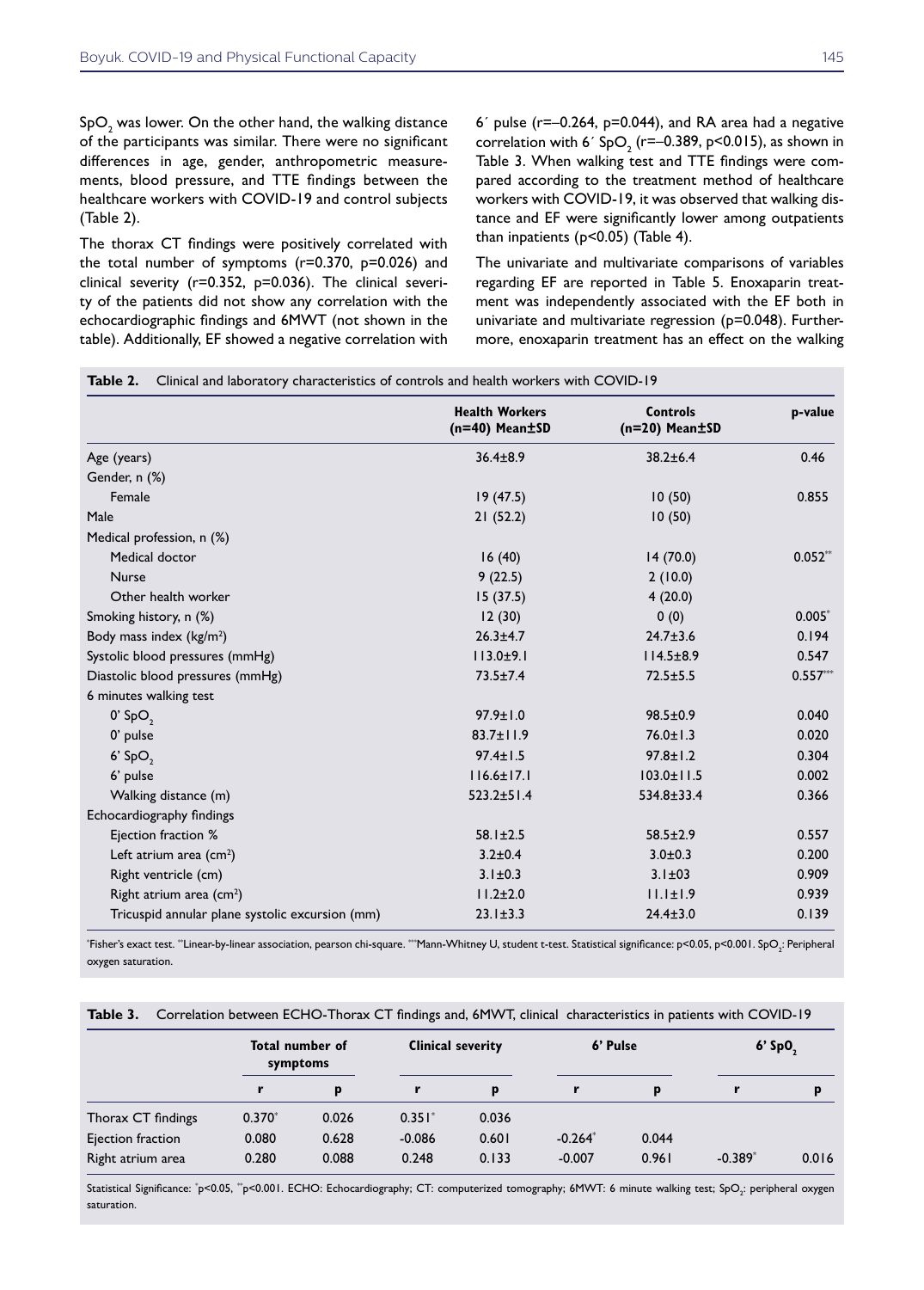SpO $_{_{2}}$  was lower. On the other hand, the walking distance of the participants was similar. There were no significant differences in age, gender, anthropometric measurements, blood pressure, and TTE findings between the healthcare workers with COVID-19 and control subjects (Table 2).

The thorax CT findings were positively correlated with the total number of symptoms (r=0.370, p=0.026) and clinical severity (r=0.352, p=0.036). The clinical severity of the patients did not show any correlation with the echocardiographic findings and 6MWT (not shown in the table). Additionally, EF showed a negative correlation with  $6'$  pulse ( $r=-0.264$ ,  $p=0.044$ ), and RA area had a negative correlation with 6´ SpO<sub>2</sub> (r=-0.389, p<0.015), as shown in Table 3. When walking test and TTE findings were compared according to the treatment method of healthcare workers with COVID-19, it was observed that walking distance and EF were significantly lower among outpatients than inpatients (p<0.05) (Table 4).

The univariate and multivariate comparisons of variables regarding EF are reported in Table 5. Enoxaparin treatment was independently associated with the EF both in univariate and multivariate regression (p=0.048). Furthermore, enoxaparin treatment has an effect on the walking

|                                                 | <b>Health Workers</b><br>$(n=40)$ Mean $\pm$ SD | <b>Controls</b><br>$(n=20)$ Mean $\pm$ SD | p-value    |
|-------------------------------------------------|-------------------------------------------------|-------------------------------------------|------------|
| Age (years)                                     | $36.4 \pm 8.9$                                  | $38.2 \pm 6.4$                            | 0.46       |
| Gender, n (%)                                   |                                                 |                                           |            |
| Female                                          | 19(47.5)                                        | 10(50)                                    | 0.855      |
| Male                                            | 21(52.2)                                        | 10(50)                                    |            |
| Medical profession, n (%)                       |                                                 |                                           |            |
| Medical doctor                                  | 16(40)                                          | 14(70.0)                                  | $0.052**$  |
| <b>Nurse</b>                                    | 9(22.5)                                         | 2(10.0)                                   |            |
| Other health worker                             | 15(37.5)                                        | 4(20.0)                                   |            |
| Smoking history, n (%)                          | 12(30)                                          | 0(0)                                      | $0.005*$   |
| Body mass index (kg/m <sup>2</sup> )            | $26.3 + 4.7$                                    | $24.7 \pm 3.6$                            | 0.194      |
| Systolic blood pressures (mmHg)                 | $113.0 \pm 9.1$                                 | $114.5 \pm 8.9$                           | 0.547      |
| Diastolic blood pressures (mmHg)                | $73.5 \pm 7.4$                                  | $72.5 \pm 5.5$                            | $0.557***$ |
| 6 minutes walking test                          |                                                 |                                           |            |
| $0'$ SpO <sub>2</sub>                           | $97.9 \pm 1.0$                                  | $98.5 \pm 0.9$                            | 0.040      |
| 0' pulse                                        | $83.7 \pm 11.9$                                 | $76.0 \pm 1.3$                            | 0.020      |
| $6'$ SpO <sub>2</sub>                           | $97.4 \pm 1.5$                                  | $97.8 \pm 1.2$                            | 0.304      |
| 6' pulse                                        | $116.6 \pm 17.1$                                | $103.0 \pm 11.5$                          | 0.002      |
| Walking distance (m)                            | $523.2 \pm 51.4$                                | 534.8±33.4                                | 0.366      |
| Echocardiography findings                       |                                                 |                                           |            |
| Ejection fraction %                             | $58.1 \pm 2.5$                                  | $58.5 \pm 2.9$                            | 0.557      |
| Left atrium area $(cm2)$                        | $3.2 \pm 0.4$                                   | $3.0 \pm 0.3$                             | 0.200      |
| Right ventricle (cm)                            | $3.1 \pm 0.3$                                   | $3.1 \pm 03$                              | 0.909      |
| Right atrium area (cm <sup>2</sup> )            | $11.2 \pm 2.0$                                  | $11.1 \pm 1.9$                            | 0.939      |
| Tricuspid annular plane systolic excursion (mm) | $23.1 \pm 3.3$                                  | $24.4 \pm 3.0$                            | 0.139      |

 $^*$ Fisher's exact test.  $^*$ Linear-by-linear association, pearson chi-square.  $^{**}$ Mann-Whitney U, student t-test. Statistical significance: p<0.05, p<0.001. SpO $_2^,$  Peripheral oxygen saturation.

|  | Table 3. Correlation between ECHO-Thorax CT findings and, 6MWT, clinical characteristics in patients with COVID-19 |  |  |  |  |  |  |
|--|--------------------------------------------------------------------------------------------------------------------|--|--|--|--|--|--|
|--|--------------------------------------------------------------------------------------------------------------------|--|--|--|--|--|--|

|                    | Total number of<br>symptoms |       | <b>Clinical severity</b> |       | 6' Pulse |       | $6'$ SpO <sub>2</sub> |       |
|--------------------|-----------------------------|-------|--------------------------|-------|----------|-------|-----------------------|-------|
|                    |                             | D     |                          | p     |          | p     | r                     | p     |
| Thorax CT findings | $0.370*$                    | 0.026 | $0.351*$                 | 0.036 |          |       |                       |       |
| Ejection fraction  | 0.080                       | 0.628 | $-0.086$                 | 0.601 | $-0.264$ | 0.044 |                       |       |
| Right atrium area  | 0.280                       | 0.088 | 0.248                    | 0.133 | $-0.007$ | 0.961 | $-0.389*$             | 0.016 |

Statistical Significance: "p<0.05, ""p<0.001. ECHO: Echocardiography; CT: computerized tomography; 6MWT: 6 minute walking test; SpO<sub>2</sub>: peripheral oxygen saturation.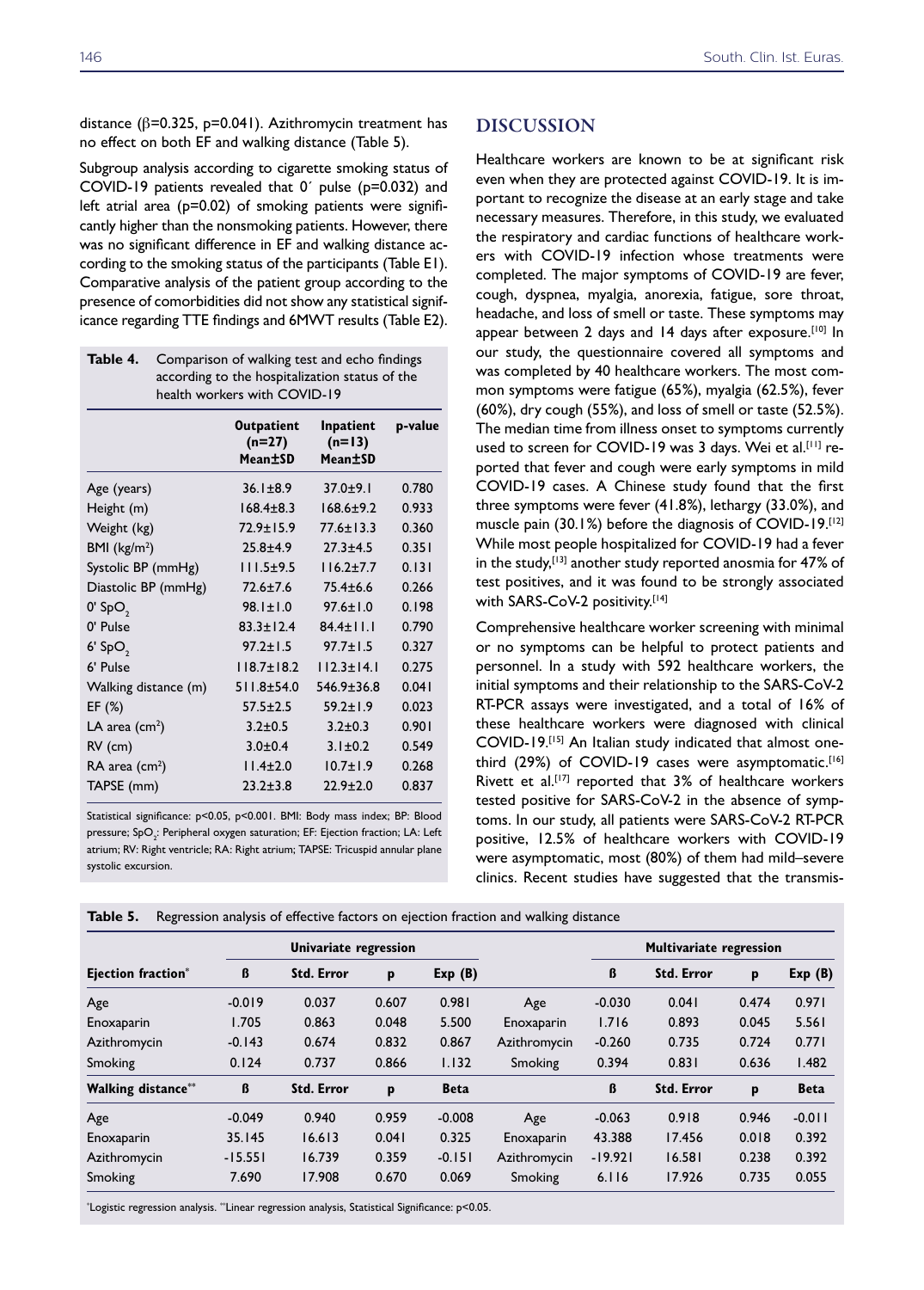distance (β=0.325, p=0.041). Azithromycin treatment has no effect on both EF and walking distance (Table 5).

Subgroup analysis according to cigarette smoking status of COVID-19 patients revealed that 0´ pulse (p=0.032) and left atrial area (p=0.02) of smoking patients were significantly higher than the nonsmoking patients. However, there was no significant difference in EF and walking distance according to the smoking status of the participants (Table E1). Comparative analysis of the patient group according to the presence of comorbidities did not show any statistical significance regarding TTE findings and 6MWT results (Table E2).

| Table 4.<br>health workers with COVID-19 | Comparison of walking test and echo findings<br>according to the hospitalization status of the |                                  |         |
|------------------------------------------|------------------------------------------------------------------------------------------------|----------------------------------|---------|
|                                          | <b>Outpatient</b><br>$(n=27)$<br>Mean±SD                                                       | Inpatient<br>$(n=13)$<br>Mean±SD | p-value |
| Age (years)                              | $36.1 \pm 8.9$                                                                                 | $37.0 + 9.1$                     | 0.780   |
| Height (m)                               | $168.4 \pm 8.3$                                                                                | $168.6 \pm 9.2$                  | 0.933   |
| Weight (kg)                              | $72.9 \pm 15.9$                                                                                | $77.6 \pm 13.3$                  | 0.360   |
| BMI $(kg/m2)$                            | $25.8 + 4.9$                                                                                   | $27.3 + 4.5$                     | 0.351   |
| Systolic BP (mmHg)                       | $111.5+9.5$                                                                                    | $116.2 + 7.7$                    | 0.131   |
| Diastolic BP (mmHg)                      | $72.6 \pm 7.6$                                                                                 | $75.4 \pm 6.6$                   | 0.266   |
| $0'$ SpO <sub>2</sub>                    | $98.1 \pm 1.0$                                                                                 | $97.6 \pm 1.0$                   | 0.198   |
| 0' Pulse                                 | $83.3 \pm 12.4$                                                                                | $84.4 \pm 11.1$                  | 0.790   |
| $6'$ SpO <sub>2</sub>                    | $97.2 \pm 1.5$                                                                                 | $97.7 \pm 1.5$                   | 0.327   |
| 6' Pulse                                 | $118.7 \pm 18.2$                                                                               | $112.3 \pm 14.1$                 | 0.275   |
| Walking distance (m)                     | $511.8 + 54.0$                                                                                 | $546.9 \pm 36.8$                 | 0.041   |
| EF $(%)$                                 | $57.5 \pm 2.5$                                                                                 | $59.2 \pm 1.9$                   | 0.023   |
| LA area $(cm2)$                          | $3.2 + 0.5$                                                                                    | $3.2 \pm 0.3$                    | 0.901   |
| $RV$ (cm)                                | $3.0 + 0.4$                                                                                    | $3.1 \pm 0.2$                    | 0.549   |
| $RA$ area (cm <sup>2</sup> )             | $11.4 \pm 2.0$                                                                                 | $10.7 \pm 1.9$                   | 0.268   |
| TAPSE (mm)                               | $23.2 \pm 3.8$                                                                                 | $22.9 \pm 2.0$                   | 0.837   |

Statistical significance: p<0.05, p<0.001. BMI: Body mass index; BP: Blood pressure; SpO<sub>2</sub>: Peripheral oxygen saturation; EF: Ejection fraction; LA: Left atrium; RV: Right ventricle; RA: Right atrium; TAPSE: Tricuspid annular plane systolic excursion.

### DISCUSSION

Healthcare workers are known to be at significant risk even when they are protected against COVID-19. It is important to recognize the disease at an early stage and take necessary measures. Therefore, in this study, we evaluated the respiratory and cardiac functions of healthcare workers with COVID-19 infection whose treatments were completed. The major symptoms of COVID-19 are fever, cough, dyspnea, myalgia, anorexia, fatigue, sore throat, headache, and loss of smell or taste. These symptoms may appear between 2 days and 14 days after exposure.<sup>[10]</sup> In our study, the questionnaire covered all symptoms and was completed by 40 healthcare workers. The most common symptoms were fatigue (65%), myalgia (62.5%), fever (60%), dry cough (55%), and loss of smell or taste (52.5%). The median time from illness onset to symptoms currently used to screen for COVID-19 was 3 days. Wei et al.<sup>[11]</sup> reported that fever and cough were early symptoms in mild COVID-19 cases. A Chinese study found that the first three symptoms were fever (41.8%), lethargy (33.0%), and muscle pain (30.1%) before the diagnosis of COVID-19.[12] While most people hospitalized for COVID-19 had a fever in the study,<sup>[13]</sup> another study reported anosmia for 47% of test positives, and it was found to be strongly associated with SARS-CoV-2 positivity.[14]

Comprehensive healthcare worker screening with minimal or no symptoms can be helpful to protect patients and personnel. In a study with 592 healthcare workers, the initial symptoms and their relationship to the SARS-CoV-2 RT-PCR assays were investigated, and a total of 16% of these healthcare workers were diagnosed with clinical COVID-19.[15] An Italian study indicated that almost onethird (29%) of COVID-19 cases were asymptomatic.[16] Rivett et al.<sup>[17]</sup> reported that  $3\%$  of healthcare workers tested positive for SARS-CoV-2 in the absence of symptoms. In our study, all patients were SARS-CoV-2 RT-PCR positive, 12.5% of healthcare workers with COVID-19 were asymptomatic, most (80%) of them had mild–severe clinics. Recent studies have suggested that the transmis-

| <b>Ejection fraction</b> * |           | Univariate regression |       |             |              | <b>Multivariate regression</b> |                   |       |             |
|----------------------------|-----------|-----------------------|-------|-------------|--------------|--------------------------------|-------------------|-------|-------------|
|                            | ß         | <b>Std. Error</b>     | p     | Exp(B)      |              | ß                              | <b>Std. Error</b> | p     | Exp(B)      |
| Age                        | $-0.019$  | 0.037                 | 0.607 | 0.981       | Age          | $-0.030$                       | 0.041             | 0.474 | 0.971       |
| Enoxaparin                 | 1.705     | 0.863                 | 0.048 | 5.500       | Enoxaparin   | 1.716                          | 0.893             | 0.045 | 5.561       |
| Azithromycin               | $-0.143$  | 0.674                 | 0.832 | 0.867       | Azithromycin | $-0.260$                       | 0.735             | 0.724 | 0.771       |
| Smoking                    | 0.124     | 0.737                 | 0.866 | 1.132       | Smoking      | 0.394                          | 0.831             | 0.636 | 1.482       |
| <b>Walking distance**</b>  | ß         | <b>Std. Error</b>     | p     | <b>Beta</b> |              | ß                              | <b>Std. Error</b> | p     | <b>Beta</b> |
| Age                        | $-0.049$  | 0.940                 | 0.959 | $-0.008$    | Age          | $-0.063$                       | 0.918             | 0.946 | $-0.011$    |
| Enoxaparin                 | 35.145    | 16.613                | 0.041 | 0.325       | Enoxaparin   | 43.388                         | 17.456            | 0.018 | 0.392       |
| Azithromycin               | $-15.551$ | 16.739                | 0.359 | $-0.151$    | Azithromycin | $-19.921$                      | 16.581            | 0.238 | 0.392       |
| Smoking                    | 7.690     | 17.908                | 0.670 | 0.069       | Smoking      | 6.116                          | 17.926            | 0.735 | 0.055       |

**Table 5.** Regression analysis of effective factors on ejection fraction and walking distance

\* Logistic regression analysis. \*\*Linear regression analysis, Statistical Significance: p<0.05.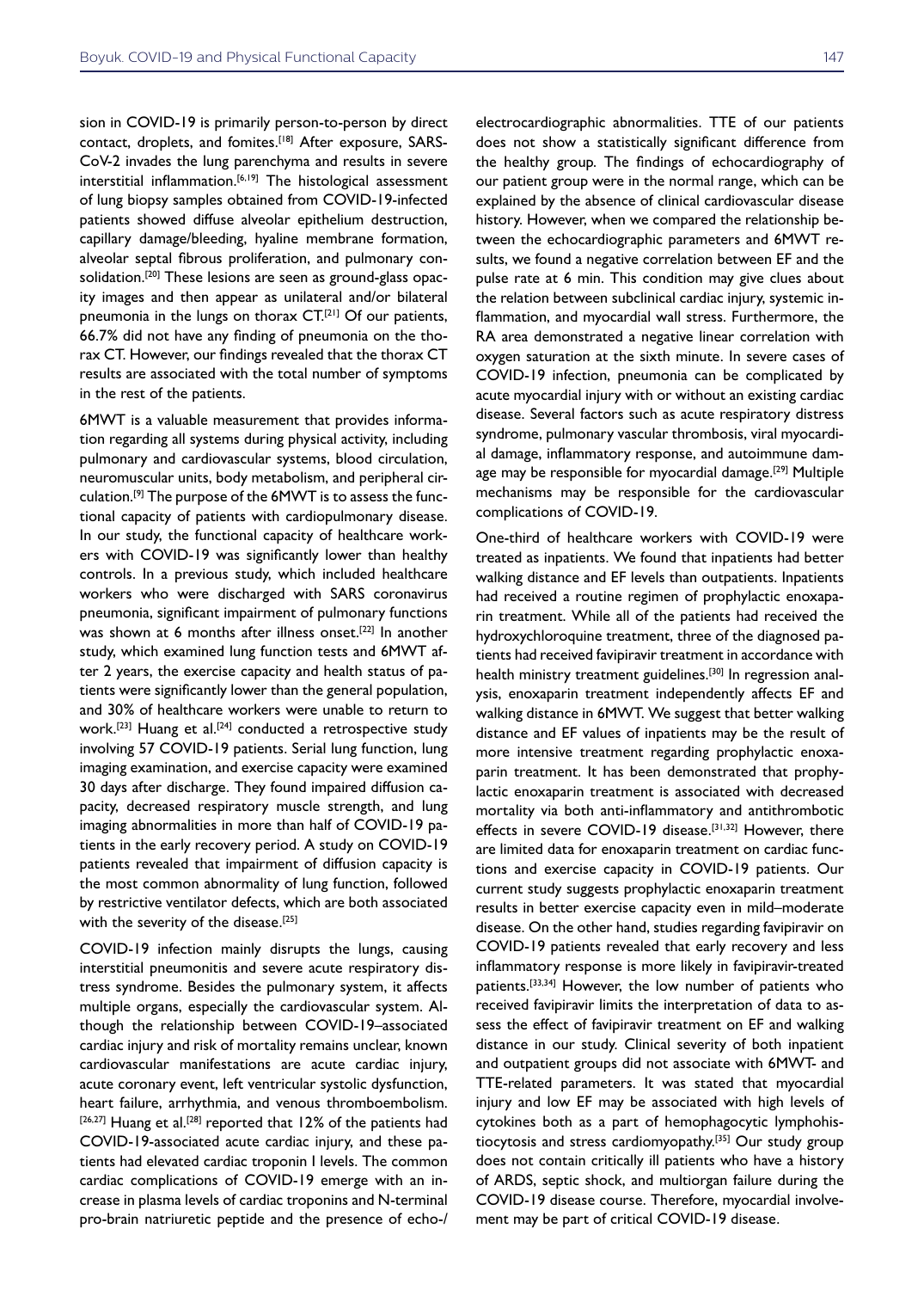sion in COVID-19 is primarily person-to-person by direct contact, droplets, and fomites.[18] After exposure, SARS-CoV-2 invades the lung parenchyma and results in severe  $inter $sticial$  inflammation.<sup>[6,19]</sup> The histological assessment$ of lung biopsy samples obtained from COVID-19-infected patients showed diffuse alveolar epithelium destruction, capillary damage/bleeding, hyaline membrane formation, alveolar septal fibrous proliferation, and pulmonary consolidation.<sup>[20]</sup> These lesions are seen as ground-glass opacity images and then appear as unilateral and/or bilateral pneumonia in the lungs on thorax CT.[21] Of our patients, 66.7% did not have any finding of pneumonia on the thorax CT. However, our findings revealed that the thorax CT results are associated with the total number of symptoms in the rest of the patients.

6MWT is a valuable measurement that provides information regarding all systems during physical activity, including pulmonary and cardiovascular systems, blood circulation, neuromuscular units, body metabolism, and peripheral circulation.[9] The purpose of the 6MWT is to assess the functional capacity of patients with cardiopulmonary disease. In our study, the functional capacity of healthcare workers with COVID-19 was significantly lower than healthy controls. In a previous study, which included healthcare workers who were discharged with SARS coronavirus pneumonia, significant impairment of pulmonary functions was shown at 6 months after illness onset.<sup>[22]</sup> In another study, which examined lung function tests and 6MWT after 2 years, the exercise capacity and health status of patients were significantly lower than the general population, and 30% of healthcare workers were unable to return to work.<sup>[23]</sup> Huang et al.<sup>[24]</sup> conducted a retrospective study involving 57 COVID-19 patients. Serial lung function, lung imaging examination, and exercise capacity were examined 30 days after discharge. They found impaired diffusion capacity, decreased respiratory muscle strength, and lung imaging abnormalities in more than half of COVID-19 patients in the early recovery period. A study on COVID-19 patients revealed that impairment of diffusion capacity is the most common abnormality of lung function, followed by restrictive ventilator defects, which are both associated with the severity of the disease.<sup>[25]</sup>

COVID-19 infection mainly disrupts the lungs, causing interstitial pneumonitis and severe acute respiratory distress syndrome. Besides the pulmonary system, it affects multiple organs, especially the cardiovascular system. Although the relationship between COVID-19–associated cardiac injury and risk of mortality remains unclear, known cardiovascular manifestations are acute cardiac injury, acute coronary event, left ventricular systolic dysfunction, heart failure, arrhythmia, and venous thromboembolism. [26,27] Huang et al.<sup>[28]</sup> reported that 12% of the patients had COVID-19-associated acute cardiac injury, and these patients had elevated cardiac troponin I levels. The common cardiac complications of COVID-19 emerge with an increase in plasma levels of cardiac troponins and N-terminal pro-brain natriuretic peptide and the presence of echo-/

electrocardiographic abnormalities. TTE of our patients does not show a statistically significant difference from the healthy group. The findings of echocardiography of our patient group were in the normal range, which can be explained by the absence of clinical cardiovascular disease history. However, when we compared the relationship between the echocardiographic parameters and 6MWT results, we found a negative correlation between EF and the pulse rate at 6 min. This condition may give clues about the relation between subclinical cardiac injury, systemic inflammation, and myocardial wall stress. Furthermore, the RA area demonstrated a negative linear correlation with oxygen saturation at the sixth minute. In severe cases of COVID-19 infection, pneumonia can be complicated by acute myocardial injury with or without an existing cardiac disease. Several factors such as acute respiratory distress syndrome, pulmonary vascular thrombosis, viral myocardial damage, inflammatory response, and autoimmune damage may be responsible for myocardial damage.<sup>[29]</sup> Multiple mechanisms may be responsible for the cardiovascular complications of COVID-19.

One-third of healthcare workers with COVID-19 were treated as inpatients. We found that inpatients had better walking distance and EF levels than outpatients. Inpatients had received a routine regimen of prophylactic enoxaparin treatment. While all of the patients had received the hydroxychloroquine treatment, three of the diagnosed patients had received favipiravir treatment in accordance with health ministry treatment guidelines.[30] In regression analysis, enoxaparin treatment independently affects EF and walking distance in 6MWT. We suggest that better walking distance and EF values of inpatients may be the result of more intensive treatment regarding prophylactic enoxaparin treatment. It has been demonstrated that prophylactic enoxaparin treatment is associated with decreased mortality via both anti-inflammatory and antithrombotic effects in severe COVID-19 disease.<sup>[31,32]</sup> However, there are limited data for enoxaparin treatment on cardiac functions and exercise capacity in COVID-19 patients. Our current study suggests prophylactic enoxaparin treatment results in better exercise capacity even in mild–moderate disease. On the other hand, studies regarding favipiravir on COVID-19 patients revealed that early recovery and less inflammatory response is more likely in favipiravir-treated patients.[33,34] However, the low number of patients who received favipiravir limits the interpretation of data to assess the effect of favipiravir treatment on EF and walking distance in our study. Clinical severity of both inpatient and outpatient groups did not associate with 6MWT- and TTE-related parameters. It was stated that myocardial injury and low EF may be associated with high levels of cytokines both as a part of hemophagocytic lymphohistiocytosis and stress cardiomyopathy.[35] Our study group does not contain critically ill patients who have a history of ARDS, septic shock, and multiorgan failure during the COVID-19 disease course. Therefore, myocardial involvement may be part of critical COVID-19 disease.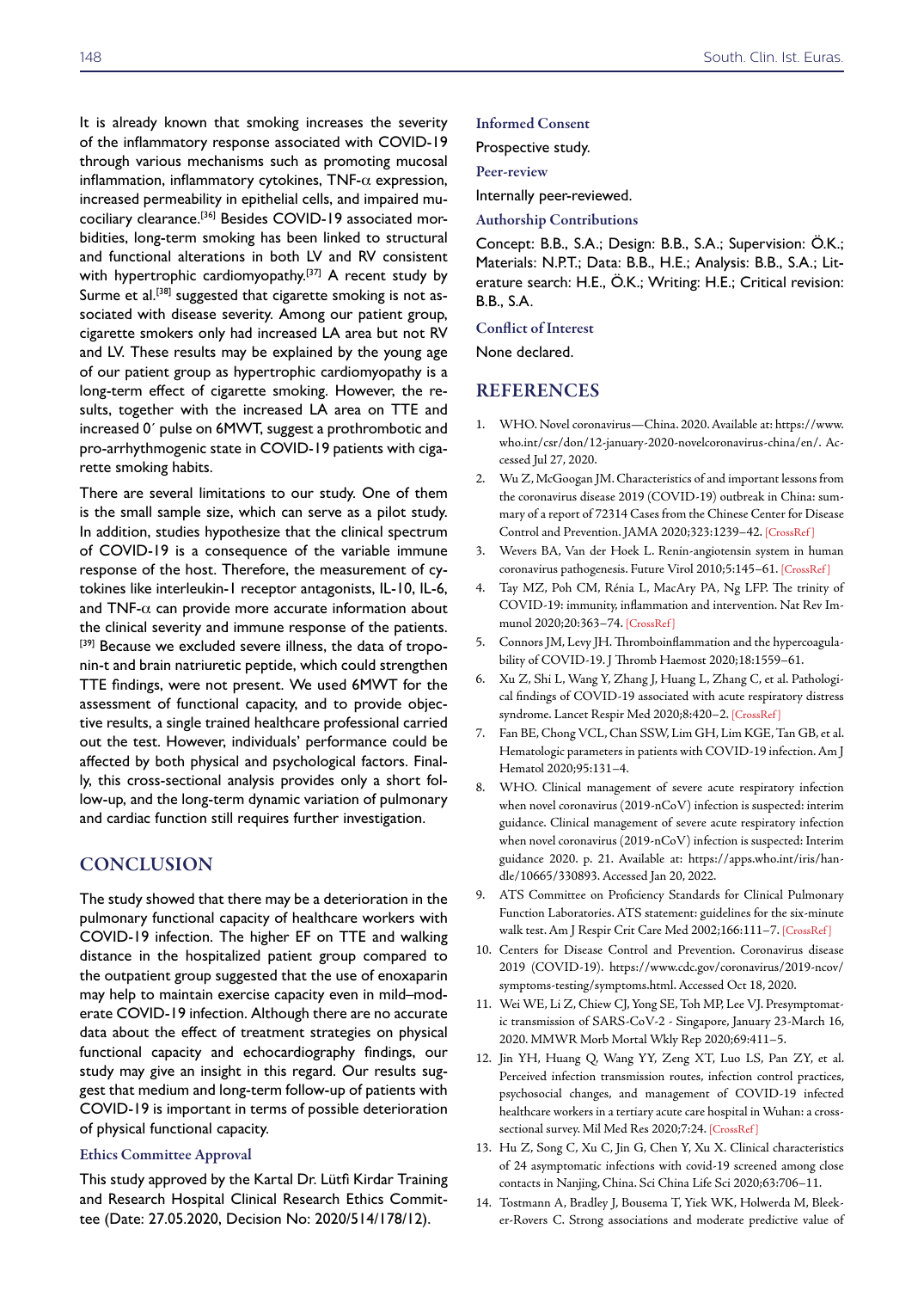It is already known that smoking increases the severity of the inflammatory response associated with COVID-19 through various mechanisms such as promoting mucosal inflammation, inflammatory cytokines,  $TNF-\alpha$  expression, increased permeability in epithelial cells, and impaired mucociliary clearance.[36] Besides COVID-19 associated morbidities, long-term smoking has been linked to structural and functional alterations in both LV and RV consistent with hypertrophic cardiomyopathy.<sup>[37]</sup> A recent study by Surme et al.<sup>[38]</sup> suggested that cigarette smoking is not associated with disease severity. Among our patient group, cigarette smokers only had increased LA area but not RV and LV. These results may be explained by the young age of our patient group as hypertrophic cardiomyopathy is a long-term effect of cigarette smoking. However, the results, together with the increased LA area on TTE and increased 0´ pulse on 6MWT, suggest a prothrombotic and pro-arrhythmogenic state in COVID-19 patients with cigarette smoking habits.

There are several limitations to our study. One of them is the small sample size, which can serve as a pilot study. In addition, studies hypothesize that the clinical spectrum of COVID-19 is a consequence of the variable immune response of the host. Therefore, the measurement of cytokines like interleukin-1 receptor antagonists, IL-10, IL-6, and TNF- $\alpha$  can provide more accurate information about the clinical severity and immune response of the patients. [39] Because we excluded severe illness, the data of troponin-t and brain natriuretic peptide, which could strengthen TTE findings, were not present. We used 6MWT for the assessment of functional capacity, and to provide objective results, a single trained healthcare professional carried out the test. However, individuals' performance could be affected by both physical and psychological factors. Finally, this cross-sectional analysis provides only a short follow-up, and the long-term dynamic variation of pulmonary and cardiac function still requires further investigation.

## **CONCLUSION**

The study showed that there may be a deterioration in the pulmonary functional capacity of healthcare workers with COVID-19 infection. The higher EF on TTE and walking distance in the hospitalized patient group compared to the outpatient group suggested that the use of enoxaparin may help to maintain exercise capacity even in mild–moderate COVID-19 infection. Although there are no accurate data about the effect of treatment strategies on physical functional capacity and echocardiography findings, our study may give an insight in this regard. Our results suggest that medium and long-term follow-up of patients with COVID-19 is important in terms of possible deterioration of physical functional capacity.

#### Ethics Committee Approval

This study approved by the Kartal Dr. Lütfi Kirdar Training and Research Hospital Clinical Research Ethics Committee (Date: 27.05.2020, Decision No: 2020/514/178/12).

#### Informed Consent

Prospective study.

Peer-review

Internally peer-reviewed.

Authorship Contributions

Concept: B.B., S.A.; Design: B.B., S.A.; Supervision: Ö.K.; Materials: N.P.T.; Data: B.B., H.E.; Analysis: B.B., S.A.; Literature search: H.E., Ö.K.; Writing: H.E.; Critical revision: B.B., S.A.

Conflict of Interest

None declared.

## **REFERENCES**

- 1. WHO. Novel coronavirus—China. 2020. Available at: https://www. who.int/csr/don/12-january-2020-novelcoronavirus-china/en/. Accessed Jul 27, 2020.
- 2. Wu Z, McGoogan JM. Characteristics of and important lessons from the coronavirus disease 2019 (COVID-19) outbreak in China: summary of a report of 72314 Cases from the Chinese Center for Disease Control and Prevention. JAMA 2020;323:1239–42[. \[CrossRef \]](https://doi.org/10.1001/jama.2020.2648)
- 3. Wevers BA, Van der Hoek L. Renin-angiotensin system in human coronavirus pathogenesis. Future Virol 2010;5:145–6[1. \[CrossRef \]](https://doi.org/10.2217/fvl.10.4)
- 4. Tay MZ, Poh CM, Rénia L, MacAry PA, Ng LFP. The trinity of COVID-19: immunity, inflammation and intervention. Nat Rev Immunol 2020;20:363–7[4. \[CrossRef \]](https://doi.org/10.1038/s41577-020-0311-8)
- 5. Connors JM, Levy JH. Thromboinflammation and the hypercoagulability of COVID-19. J Thromb Haemost 2020;18:1559–61.
- 6. Xu Z, Shi L, Wang Y, Zhang J, Huang L, Zhang C, et al. Pathological findings of COVID-19 associated with acute respiratory distress syndrome. Lancet Respir Med 2020;8:420[–2. \[CrossRef \]](https://doi.org/10.1016/S2213-2600(20)30076-X)
- 7. Fan BE, Chong VCL, Chan SSW, Lim GH, Lim KGE, Tan GB, et al. Hematologic parameters in patients with COVID-19 infection. Am J Hematol 2020;95:131–4.
- 8. WHO. Clinical management of severe acute respiratory infection when novel coronavirus (2019-nCoV) infection is suspected: interim guidance. Clinical management of severe acute respiratory infection when novel coronavirus (2019-nCoV) infection is suspected: Interim guidance 2020. p. 21. Available at: https://apps.who.int/iris/handle/10665/330893. Accessed Jan 20, 2022.
- 9. ATS Committee on Proficiency Standards for Clinical Pulmonary Function Laboratories. ATS statement: guidelines for the six-minute walk test. Am J Respir Crit Care Med 2002;166:111–[7. \[CrossRef \]](https://doi.org/10.1164/ajrccm.166.1.at1102)
- 10. Centers for Disease Control and Prevention. Coronavirus disease 2019 (COVID-19). https://www.cdc.gov/coronavirus/2019-ncov/ symptoms-testing/symptoms.html. Accessed Oct 18, 2020.
- 11. Wei WE, Li Z, Chiew CJ, Yong SE, Toh MP, Lee VJ. Presymptomatic transmission of SARS-CoV-2 - Singapore, January 23-March 16, 2020. MMWR Morb Mortal Wkly Rep 2020;69:411–5.
- 12. Jin YH, Huang Q, Wang YY, Zeng XT, Luo LS, Pan ZY, et al. Perceived infection transmission routes, infection control practices, psychosocial changes, and management of COVID-19 infected healthcare workers in a tertiary acute care hospital in Wuhan: a crosssectional survey. Mil Med Res 2020;7:2[4. \[CrossRef \]](https://doi.org/10.1186/s40779-020-00254-8)
- 13. Hu Z, Song C, Xu C, Jin G, Chen Y, Xu X. Clinical characteristics of 24 asymptomatic infections with covid-19 screened among close contacts in Nanjing, China. Sci China Life Sci 2020;63:706–11.
- 14. Tostmann A, Bradley J, Bousema T, Yiek WK, Holwerda M, Bleeker-Rovers C. Strong associations and moderate predictive value of